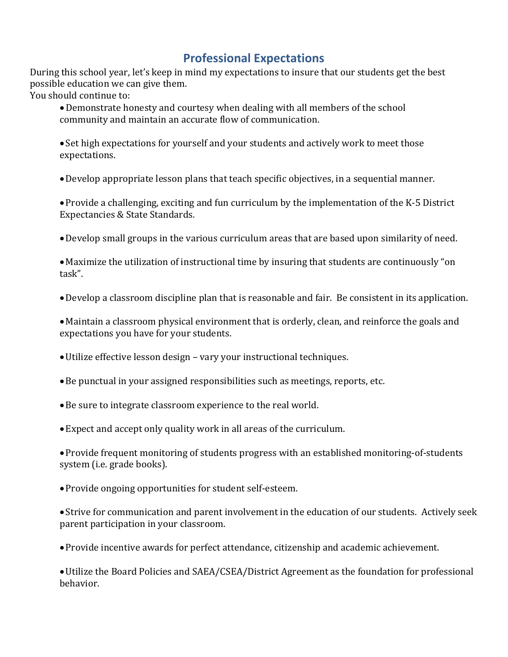# **Professional Expectations**

During this school year, let's keep in mind my expectations to insure that our students get the best possible education we can give them.

You should continue to:

•Demonstrate honesty and courtesy when dealing with all members of the school community and maintain an accurate flow of communication.

• Set high expectations for yourself and your students and actively work to meet those expectations.

•Develop appropriate lesson plans that teach specific objectives, in a sequential manner.

•Provide a challenging, exciting and fun curriculum by the implementation of the K-5 District Expectancies & State Standards.

•Develop small groups in the various curriculum areas that are based upon similarity of need.

• Maximize the utilization of instructional time by insuring that students are continuously "on task".

•Develop a classroom discipline plan that is reasonable and fair. Be consistent in its application.

• Maintain a classroom physical environment that is orderly, clean, and reinforce the goals and expectations you have for your students.

- •Utilize effective lesson design vary your instructional techniques.
- •Be punctual in your assigned responsibilities such as meetings, reports, etc.
- •Be sure to integrate classroom experience to the real world.
- •Expect and accept only quality work in all areas of the curriculum.
- •Provide frequent monitoring of students progress with an established monitoring-of-students system (i.e. grade books).
- •Provide ongoing opportunities for student self-esteem.

• Strive for communication and parent involvement in the education of our students. Actively seek parent participation in your classroom.

•Provide incentive awards for perfect attendance, citizenship and academic achievement.

•Utilize the Board Policies and SAEA/CSEA/District Agreement as the foundation for professional behavior.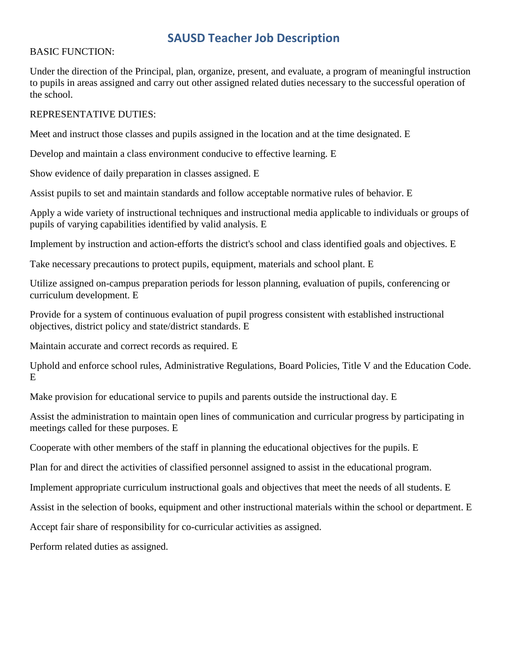# **SAUSD Teacher Job Description**

## BASIC FUNCTION:

Under the direction of the Principal, plan, organize, present, and evaluate, a program of meaningful instruction to pupils in areas assigned and carry out other assigned related duties necessary to the successful operation of the school.

# REPRESENTATIVE DUTIES:

Meet and instruct those classes and pupils assigned in the location and at the time designated. E

Develop and maintain a class environment conducive to effective learning. E

Show evidence of daily preparation in classes assigned. E

Assist pupils to set and maintain standards and follow acceptable normative rules of behavior. E

Apply a wide variety of instructional techniques and instructional media applicable to individuals or groups of pupils of varying capabilities identified by valid analysis. E

Implement by instruction and action-efforts the district's school and class identified goals and objectives. E

Take necessary precautions to protect pupils, equipment, materials and school plant. E

Utilize assigned on-campus preparation periods for lesson planning, evaluation of pupils, conferencing or curriculum development. E

Provide for a system of continuous evaluation of pupil progress consistent with established instructional objectives, district policy and state/district standards. E

Maintain accurate and correct records as required. E

Uphold and enforce school rules, Administrative Regulations, Board Policies, Title V and the Education Code. E

Make provision for educational service to pupils and parents outside the instructional day. E

Assist the administration to maintain open lines of communication and curricular progress by participating in meetings called for these purposes. E

Cooperate with other members of the staff in planning the educational objectives for the pupils. E

Plan for and direct the activities of classified personnel assigned to assist in the educational program.

Implement appropriate curriculum instructional goals and objectives that meet the needs of all students. E

Assist in the selection of books, equipment and other instructional materials within the school or department. E

Accept fair share of responsibility for co-curricular activities as assigned.

Perform related duties as assigned.